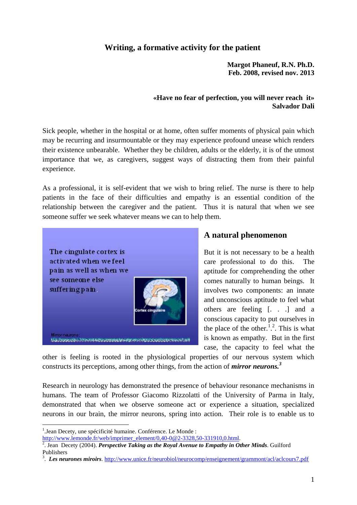## **Writing, a formative activity for the patient**

**Margot Phaneuf, R.N. Ph.D. Feb. 2008, revised nov. 2013**

#### **«Have no fear of perfection, you will never reach it» Salvador Dali**

Sick people, whether in the hospital or at home, often suffer moments of physical pain which may be recurring and insurmountable or they may experience profound unease which renders their existence unbearable. Whether they be children, adults or the elderly, it is of the utmost importance that we, as caregivers, suggest ways of distracting them from their painful experience.

As a professional, it is self-evident that we wish to bring relief. The nurse is there to help patients in the face of their difficulties and empathy is an essential condition of the relationship between the caregiver and the patient. Thus it is natural that when we see someone suffer we seek whatever means we can to help them.



## **A natural phenomenon**

But it is not necessary to be a health care professional to do this. The aptitude for comprehending the other comes naturally to human beings. It involves two components: an innate and unconscious aptitude to feel what others are feeling [. . .] and a conscious capacity to put ourselves in the place of the other.<sup>1,2</sup>. This is what is known as empathy. But in the first case, the capacity to feel what the

other is feeling is rooted in the physiological properties of our nervous system which constructs its perceptions, among other things, from the action of *mirror neurons.<sup>3</sup>*

Research in neurology has demonstrated the presence of behaviour resonance mechanisms in humans. The team of Professor Giacomo Rizzolatti of the University of Parma in Italy, demonstrated that when we observe someone act or experience a situation, specialized neurons in our brain, the mirror neurons, spring into action. Their role is to enable us to

<u>.</u>

<sup>&</sup>lt;sup>1</sup>.Jean Decety, une spécificité humaine. Conférence. Le Monde :

[http://www.lemonde.fr/web/imprimer\\_element/0,40-0@2-3328,50-331910,0.html.](http://www.lemonde.fr/web/imprimer_element/0,40-0@2-3328,50-331910,0.html)

<sup>2</sup> . Jean Decety (2004). *Perspective Taking as the Royal Avenue to Empathy in Other Minds*. Guilford Publishers

<sup>&</sup>lt;sup>3</sup>. Les neurones miroirs.<http://www.unice.fr/neurobiol/neurocomp/enseignement/grammont/acl/aclcours7.pdf>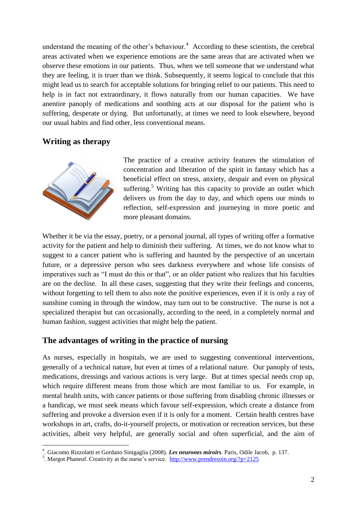understand the meaning of the other's behaviour.<sup>4</sup> According to these scientists, the cerebral areas activated when we experience emotions are the same areas that are activated when we observe these emotions in our patients. Thus, when we tell someone that we understand what they are feeling, it is truer than we think. Subsequently, it seems logical to conclude that this might lead us to search for acceptable solutions for bringing relief to our patients. This need to help is in fact not extraordinary, it flows naturally from our human capacities. We have anentire panoply of medications and soothing acts at our disposal for the patient who is suffering, desperate or dying. But unfortunatly, at times we need to look elsewhere, beyond our usual habits and find other, less conventional means.

#### **Writing as therapy**



<u>.</u>

The practice of a creative activity features the stimulation of concentration and liberation of the spirit in fantasy which has a beneficial effect on stress, anxiety, despair and even on physical suffering. $5$  Writing has this capacity to provide an outlet which delivers us from the day to day, and which opens our minds to reflection, self-expression and journeying in more poetic and more pleasant domains.

Whether it be via the essay, poetry, or a personal journal, all types of writing offer a formative activity for the patient and help to diminish their suffering. At times, we do not know what to suggest to a cancer patient who is suffering and haunted by the perspective of an uncertain future, or a depressive person who sees darkness everywhere and whose life consists of imperatives such as "I must do this or that", or an older patient who realizes that his faculties are on the decline. In all these cases, suggesting that they write their feelings and concerns, without forgetting to tell them to also note the positive experiences, even if it is only a ray of sunshine coming in through the window, may turn out to be constructive. The nurse is not a specialized therapist but can occasionally, according to the need, in a completely normal and human fashion, suggest activities that might help the patient.

## **The advantages of writing in the practice of nursing**

As nurses, especially in hospitals, we are used to suggesting conventional interventions, generally of a technical nature, but even at times of a relational nature. Our panoply of tests, medications, dressings and various actions is very large. But at times special needs crop up, which require different means from those which are most familiar to us. For example, in mental health units, with cancer patients or those suffering from disabling chronic illnesses or a handicap, we must seek means which favour self-expression, which create a distance from suffering and provoke a diversion even if it is only for a moment. Certain health centres have workshops in art, crafts, do-it-yourself projects, or motivation or recreation services, but these activities, albeit very helpful, are generally social and often superficial, and the aim of

<sup>4</sup> . Giacomo Rizzolatti et Gordano Sinigaglia (2008). *Les neurones miroirs*. Paris, Odile Jacob, p. 137.

<sup>&</sup>lt;sup>5</sup>. Margot Phaneuf. Creativity at the nurse's service. <http://www.prendresoin.org/?p=2125>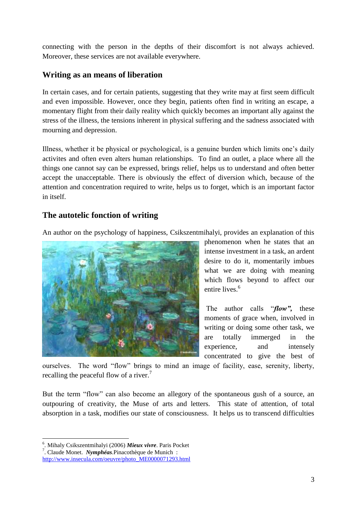connecting with the person in the depths of their discomfort is not always achieved. Moreover, these services are not available everywhere.

# **Writing as an means of liberation**

In certain cases, and for certain patients, suggesting that they write may at first seem difficult and even impossible. However, once they begin, patients often find in writing an escape, a momentary flight from their daily reality which quickly becomes an important ally against the stress of the illness, the tensions inherent in physical suffering and the sadness associated with mourning and depression.

Illness, whether it be physical or psychological, is a genuine burden which limits one's daily activites and often even alters human relationships. To find an outlet, a place where all the things one cannot say can be expressed, brings relief, helps us to understand and often better accept the unacceptable. There is obviously the effect of diversion which, because of the attention and concentration required to write, helps us to forget, which is an important factor in itself.

## **The autotelic fonction of writing**

An author on the psychology of happiness, Csikszentmihalyi, provides an explanation of this



phenomenon when he states that an intense investment in a task, an ardent desire to do it, momentarily imbues what we are doing with meaning which flows beyond to affect our entire lives.<sup>6</sup>

The author calls "*flow",* these moments of grace when, involved in writing or doing some other task, we are totally immerged in the experience, and intensely concentrated to give the best of

ourselves. The word "flow" brings to mind an image of facility, ease, serenity, liberty, recalling the peaceful flow of a river.<sup>7</sup>

But the term "flow" can also become an allegory of the spontaneous gush of a source, an outpouring of creativity, the Muse of arts and letters. This state of attention, of total absorption in a task, modifies our state of consciousness. It helps us to transcend difficulties

<sup>1</sup> 6 . Mihaly Csikszentmihalyi (2006) *Mieux vivre*. Paris Pocket

<sup>7</sup> . Claude Monet. *Nymphéas*.Pinacothèque de Munich :

[http://www.insecula.com/oeuvre/photo\\_ME0000071293.html](http://www.insecula.com/oeuvre/photo_ME0000071293.html)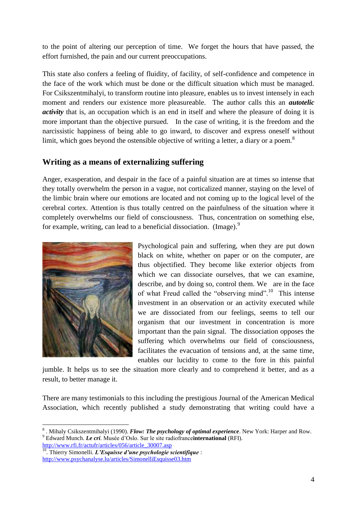to the point of altering our perception of time. We forget the hours that have passed, the effort furnished, the pain and our current preoccupations.

This state also confers a feeling of fluidity, of facility, of self-confidence and competence in the face of the work which must be done or the difficult situation which must be managed. For Csikszentmihalyi, to transform routine into pleasure, enables us to invest intensely in each moment and renders our existence more pleasureable. The author calls this an *autotelic activity* that is, an occupation which is an end in itself and where the pleasure of doing it is more important than the objective pursued. In the case of writing, it is the freedom and the narcissistic happiness of being able to go inward, to discover and express oneself without limit, which goes beyond the ostensible objective of writing a letter, a diary or a poem.<sup>8</sup>

## **Writing as a means of externalizing suffering**

Anger, exasperation, and despair in the face of a painful situation are at times so intense that they totally overwhelm the person in a vague, not corticalized manner, staying on the level of the limbic brain where our emotions are located and not coming up to the logical level of the cerebral cortex. Attention is thus totally centred on the painfulness of the situation where it completely overwhelms our field of consciousness. Thus, concentration on something else, for example, writing, can lead to a beneficial dissociation. (Image).<sup>9</sup>



<u>.</u>

Psychological pain and suffering, when they are put down black on white, whether on paper or on the computer, are thus objectified. They become like exterior objects from which we can dissociate ourselves, that we can examine, describe, and by doing so, control them. We are in the face of what Freud called the "observing mind".<sup>10</sup> This intense investment in an observation or an activity executed while we are dissociated from our feelings, seems to tell our organism that our investment in concentration is more important than the pain signal. The dissociation opposes the suffering which overwhelms our field of consciousness, facilitates the evacuation of tensions and, at the same time, enables our lucidity to come to the fore in this painful

jumble. It helps us to see the situation more clearly and to comprehend it better, and as a result, to better manage it.

There are many testimonials to this including the prestigious Journal of the American Medical Association, which recently published a study demonstrating that writing could have a

<sup>8</sup> . Mihaly Csikszentmihalyi (1990). *Flow: The psychology of optimal experience*. New York: Harper and Row. <sup>9</sup> Edward Munch. *Le cri*. Musée d'Oslo. Sur le site radiofrance**international** (RFI). [http://www.rfi.fr/actufr/articles/056/article\\_30007.asp](http://www.rfi.fr/actufr/articles/056/article_30007.asp)

<sup>10</sup>. Thierry Simonelli. *L'Esquisse d'une psychologie scientifique* : <http://www.psychanalyse.lu/articles/SimonelliEsquisse03.htm>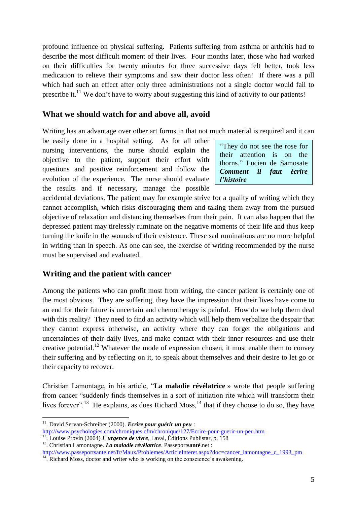profound influence on physical suffering. Patients suffering from asthma or arthritis had to describe the most difficult moment of their lives. Four months later, those who had worked on their difficulties for twenty minutes for three successive days felt better, took less medication to relieve their symptoms and saw their doctor less often! If there was a pill which had such an effect after only three administrations not a single doctor would fail to prescribe it.<sup>11</sup> We don't have to worry about suggesting this kind of activity to our patients!

#### **What we should watch for and above all, avoid**

Writing has an advantage over other art forms in that not much material is required and it can

be easily done in a hospital setting. As for all other nursing interventions, the nurse should explain the objective to the patient, support their effort with questions and positive reinforcement and follow the evolution of the experience. The nurse should evaluate the results and if necessary, manage the possible

"They do not see the rose for their attention is on the thorns." Lucien de Samosate *Comment il faut écrire l'histoire*

accidental deviations. The patient may for example strive for a quality of writing which they cannot accomplish, which risks discouraging them and taking them away from the pursued objective of relaxation and distancing themselves from their pain. It can also happen that the depressed patient may tirelessly ruminate on the negative moments of their life and thus keep turning the knife in the wounds of their existence. These sad ruminations are no more helpful in writing than in speech. As one can see, the exercise of writing recommended by the nurse must be supervised and evaluated.

## **Writing and the patient with cancer**

Among the patients who can profit most from writing, the cancer patient is certainly one of the most obvious. They are suffering, they have the impression that their lives have come to an end for their future is uncertain and chemotherapy is painful. How do we help them deal with this reality? They need to find an activity which will help them verbalize the despair that they cannot express otherwise, an activity where they can forget the obligations and uncertainties of their daily lives, and make contact with their inner resources and use their creative potential.<sup>12</sup> Whatever the mode of expression chosen, it must enable them to convey their suffering and by reflecting on it, to speak about themselves and their desire to let go or their capacity to recover.

Christian Lamontage, in his article, "**La maladie révélatrice** » wrote that people suffering from cancer "suddenly finds themselves in a sort of initiation rite which will transform their lives forever".<sup>13</sup> He explains, as does Richard Moss,<sup>14</sup> that if they choose to do so, they have

<u>.</u>

<sup>11</sup>. David Servan-Schreiber (2000). *Ecrire pour guérir un peu* :

<http://www.psychologies.com/chroniques.cfm/chronique/127/Ecrire-pour-guerir-un-peu.htm>

<sup>12</sup>. Louise Provin (2004) *L'urgence de vivre*, Laval, Éditions Publistar, p. 158

<sup>13</sup>. Christian Lamontagne. *La maladie révélatrice*. Passeport**santé**.net :

[http://www.passeportsante.net/fr/Maux/Problemes/ArticleInteret.aspx?doc=cancer\\_lamontagne\\_c\\_1993\\_pm](http://www.passeportsante.net/fr/Maux/Problemes/ArticleInteret.aspx?doc=cancer_lamontagne_c_1993_pm)

<sup>&</sup>lt;sup>14</sup>. Richard Moss, doctor and writer who is working on the conscience's awakening.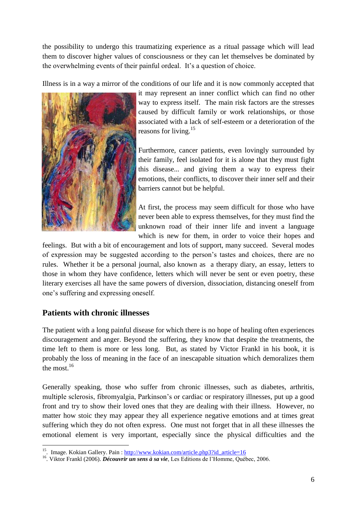the possibility to undergo this traumatizing experience as a ritual passage which will lead them to discover higher values of consciousness or they can let themselves be dominated by the overwhelming events of their painful ordeal. It's a question of choice.

Illness is in a way a mirror of the conditions of our life and it is now commonly accepted that



it may represent an inner conflict which can find no other way to express itself. The main risk factors are the stresses caused by difficult family or work relationships, or those associated with a lack of self-esteem or a deterioration of the reasons for living.<sup>15</sup>

Furthermore, cancer patients, even lovingly surrounded by their family, feel isolated for it is alone that they must fight this disease... and giving them a way to express their emotions, their conflicts, to discover their inner self and their barriers cannot but be helpful.

At first, the process may seem difficult for those who have never been able to express themselves, for they must find the unknown road of their inner life and invent a language which is new for them, in order to voice their hopes and

feelings. But with a bit of encouragement and lots of support, many succeed. Several modes of expression may be suggested according to the person's tastes and choices, there are no rules. Whether it be a personal journal, also known as a therapy diary, an essay, letters to those in whom they have confidence, letters which will never be sent or even poetry, these literary exercises all have the same powers of diversion, dissociation, distancing oneself from one's suffering and expressing oneself.

## **Patients with chronic illnesses**

The patient with a long painful disease for which there is no hope of healing often experiences discouragement and anger. Beyond the suffering, they know that despite the treatments, the time left to them is more or less long. But, as stated by Victor Frankl in his book, it is probably the loss of meaning in the face of an inescapable situation which demoralizes them the most. $16$ 

Generally speaking, those who suffer from chronic illnesses, such as diabetes, arthritis, multiple sclerosis, fibromyalgia, Parkinson's or cardiac or respiratory illnesses, put up a good front and try to show their loved ones that they are dealing with their illness. However, no matter how stoic they may appear they all experience negative emotions and at times great suffering which they do not often express. One must not forget that in all these illnesses the emotional element is very important, especially since the physical difficulties and the

<sup>&</sup>lt;u>.</u> <sup>15</sup>. Image. Kokian Gallery. Pain: http://www.kokian.com/article.php3?id\_article=16

<sup>&</sup>lt;sup>16</sup>. Viktor Frankl (2006). *Découvrir un sens à sa vie*, Les Editions de l'Homme, Québec, 2006.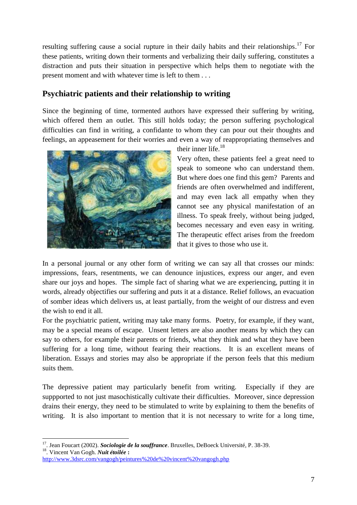resulting suffering cause a social rupture in their daily habits and their relationships.<sup>17</sup> For these patients, writing down their torments and verbalizing their daily suffering, constitutes a distraction and puts their situation in perspective which helps them to negotiate with the present moment and with whatever time is left to them . . .

## **Psychiatric patients and their relationship to writing**

Since the beginning of time, tormented authors have expressed their suffering by writing, which offered them an outlet. This still holds today; the person suffering psychological difficulties can find in writing, a confidante to whom they can pour out their thoughts and feelings, an appeasement for their worries and even a way of reappropriating themselves and



their inner life.<sup>18</sup>

Very often, these patients feel a great need to speak to someone who can understand them. But where does one find this gem? Parents and friends are often overwhelmed and indifferent, and may even lack all empathy when they cannot see any physical manifestation of an illness. To speak freely, without being judged, becomes necessary and even easy in writing. The therapeutic effect arises from the freedom that it gives to those who use it.

In a personal journal or any other form of writing we can say all that crosses our minds: impressions, fears, resentments, we can denounce injustices, express our anger, and even share our joys and hopes. The simple fact of sharing what we are experiencing, putting it in words, already objectifies our suffering and puts it at a distance. Relief follows, an evacuation of somber ideas which delivers us, at least partially, from the weight of our distress and even the wish to end it all.

For the psychiatric patient, writing may take many forms. Poetry, for example, if they want, may be a special means of escape. Unsent letters are also another means by which they can say to others, for example their parents or friends, what they think and what they have been suffering for a long time, without fearing their reactions. It is an excellent means of liberation. Essays and stories may also be appropriate if the person feels that this medium suits them.

The depressive patient may particularly benefit from writing. Especially if they are suppported to not just masochistically cultivate their difficulties. Moreover, since depression drains their energy, they need to be stimulated to write by explaining to them the benefits of writing. It is also important to mention that it is not necessary to write for a long time,

 17 . Jean Foucart (2002). *Sociologie de la souffrance*. Bruxelles, DeBoeck Université, P. 38-39. 18 . Vincent Van Gogh. *Nuit étoilée* **:**

<http://www.3dsrc.com/vangogh/peintures%20de%20vincent%20vangogh.php>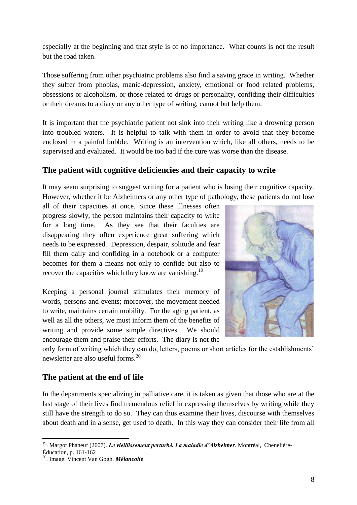especially at the beginning and that style is of no importance. What counts is not the result but the road taken.

Those suffering from other psychiatric problems also find a saving grace in writing. Whether they suffer from phobias, manic-depression, anxiety, emotional or food related problems, obsessions or alcoholism, or those related to drugs or personality, confiding their difficulties or their dreams to a diary or any other type of writing, cannot but help them.

It is important that the psychiatric patient not sink into their writing like a drowning person into troubled waters. It is helpful to talk with them in order to avoid that they become enclosed in a painful bubble. Writing is an intervention which, like all others, needs to be supervised and evaluated. It would be too bad if the cure was worse than the disease.

## **The patient with cognitive deficiencies and their capacity to write**

It may seem surprising to suggest writing for a patient who is losing their cognitive capacity. However, whether it be Alzheimers or any other type of pathology, these patients do not lose

all of their capacities at once. Since these illnesses often progress slowly, the person maintains their capacity to write for a long time. As they see that their faculties are disappearing they often experience great suffering which needs to be expressed. Depression, despair, solitude and fear fill them daily and confiding in a notebook or a computer becomes for them a means not only to confide but also to recover the capacities which they know are vanishing.<sup>19</sup>

Keeping a personal journal stimulates their memory of words, persons and events; moreover, the movement needed to write, maintains certain mobility. For the aging patient, as well as all the others, we must inform them of the benefits of writing and provide some simple directives. We should encourage them and praise their efforts. The diary is not the



only form of writing which they can do, letters, poems or short articles for the establishments' newsletter are also useful forms.<sup>20</sup>

# **The patient at the end of life**

In the departments specializing in palliative care, it is taken as given that those who are at the last stage of their lives find tremendous relief in expressing themselves by writing while they still have the strength to do so. They can thus examine their lives, discourse with themselves about death and in a sense, get used to death. In this way they can consider their life from all

 19 . Margot Phaneuf (2007). *Le vieillissement perturbé. La maladie d'Alzheimer*. Montréal, Chenelière-

Éducation, p. 161-162

<sup>20</sup>. Image. Vincent Van Gogh. *Mélancolie*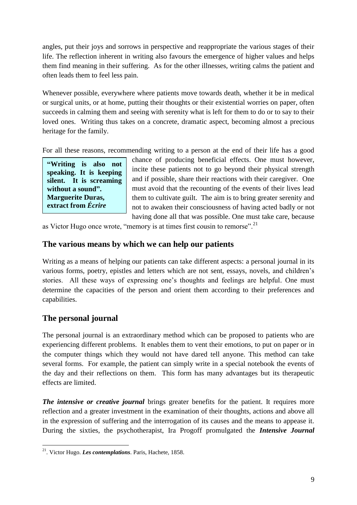angles, put their joys and sorrows in perspective and reappropriate the various stages of their life. The reflection inherent in writing also favours the emergence of higher values and helps them find meaning in their suffering. As for the other illnesses, writing calms the patient and often leads them to feel less pain.

Whenever possible, everywhere where patients move towards death, whether it be in medical or surgical units, or at home, putting their thoughts or their existential worries on paper, often succeeds in calming them and seeing with serenity what is left for them to do or to say to their loved ones. Writing thus takes on a concrete, dramatic aspect, becoming almost a precious heritage for the family.

For all these reasons, recommending writing to a person at the end of their life has a good

**"Writing is also not speaking. It is keeping silent. It is screaming without a sound". Marguerite Duras, extract from** *Écrire*

chance of producing beneficial effects. One must however, incite these patients not to go beyond their physical strength and if possible, share their reactions with their caregiver. One must avoid that the recounting of the events of their lives lead them to cultivate guilt. The aim is to bring greater serenity and not to awaken their consciousness of having acted badly or not having done all that was possible. One must take care, because

as Victor Hugo once wrote, "memory is at times first cousin to remorse".<sup>21</sup>

#### **The various means by which we can help our patients extract from** *Écrire* **Example 3 Example 3 C**

Writing as a means of helping our patients can take different aspects: a personal journal in its [various](http://www.evene.fr/citations/mot.php?mot=bruit) forms, poetry, epistles and letters which are not sent, essays, novels, and children's **bruit. »** stories. All these ways of expressing one's thoughts and feelings are helpful. One must determine the capacities of the person and orient them according to their preferences and capabilities. **pas [parler.](http://www.evene.fr/citations/mot.php?mot=parler) C'est se**  riting as a means of help

## **The personal journal**

The personal journal is an extraordinary method which can be proposed to patients who are experiencing different problems. It enables them to vent their emotions, to put on paper or in the computer things which they would not have dared tell anyone. This method can take several forms. For example, the patient can simply write in a special notebook the events of the day and their reflections on them. This form has many advantages but its therapeutic effects are limited.

**The intensive or creative journal** brings greater benefits for the patient. It requires more reflection and a greater investment in the examination of their thoughts, actions and above all in the expression of suffering and the interrogation of its causes and the means to appease it. During the sixties, the psychotherapist, Ira Progoff promulgated the *Intensive Journal* 

<sup>&</sup>lt;u>.</u> <sup>21</sup>. Victor Hugo. *Les contemplations*. Paris, Hachete, 1858.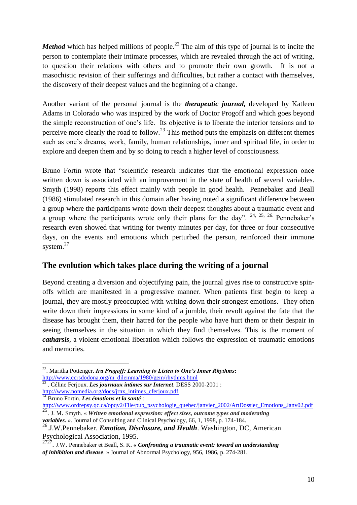*Method* which has helped millions of people.<sup>22</sup> The aim of this type of journal is to incite the person to contemplate their intimate processes, which are revealed through the act of writing, to question their relations with others and to promote their own growth. It is not a masochistic revision of their sufferings and difficulties, but rather a contact with themselves, the discovery of their deepest values and the beginning of a change.

Another variant of the personal journal is the *therapeutic journal,* developed by Katleen Adams in Colorado who was inspired by the work of Doctor Progoff and which goes beyond the simple reconstruction of one's life. Its objective is to liberate the interior tensions and to perceive more clearly the road to follow.<sup>23</sup> This method puts the emphasis on different themes such as one's dreams, work, family, human relationships, inner and spiritual life, in order to explore and deepen them and by so doing to reach a higher level of consciousness.

Bruno Fortin wrote that "scientific research indicates that the emotional expression once written down is associated with an improvement in the state of health of several variables. Smyth (1998) reports this effect mainly with people in good health. Pennebaker and Beall (1986) stimulated research in this domain after having noted a significant difference between a group where the participants wrote down their deepest thoughts about a traumatic event and a group where the participants wrote only their plans for the day".  $24, 25, 26$ . Pennebaker's research even showed that writing for twenty minutes per day, for three or four consecutive days, on the events and emotions which perturbed the person, reinforced their immune system. $27$ 

# **The evolution which takes place during the writing of a journal**

Beyond creating a diversion and objectifying pain, the journal gives rise to constructive spinoffs which are manifested in a progressive manner. When patients first begin to keep a journal, they are mostly preoccupied with writing down their strongest emotions. They often write down their impressions in some kind of a jumble, their revolt against the fate that the disease has brought them, their hatred for the people who have hurt them or their despair in seeing themselves in the situation in which they find themselves. This is the moment of *catharsis*, a violent emotional liberation which follows the expression of traumatic emotions and memories.

<sup>&</sup>lt;u>.</u> 22 . Maritha Pottenger. *Ira Progoff: Learning to Listen to One's Inner Rhythms***:** [http://www.ccrsdodona.org/m\\_dilemma/1980/gem/rhythms.html](http://www.ccrsdodona.org/m_dilemma/1980/gem/rhythms.html)

<sup>23</sup> . Céline Ferjoux. *Les journaux intimes sur Internet*. DESS 2000-2001 : [http://www.nomedia.org/docs/jrnx\\_intimes\\_cferjoux.pdf](http://www.nomedia.org/docs/jrnx_intimes_cferjoux.pdf) <sup>24</sup> Bruno Fortin. *Les émotions et la santé* :

[http://www.ordrepsy.qc.ca/opqv2/File/pub\\_psychologie\\_quebec/janvier\\_2002/ArtDossier\\_Emotions\\_Janv02.pdf](http://www.ordrepsy.qc.ca/opqv2/File/pub_psychologie_quebec/janvier_2002/ArtDossier_Emotions_Janv02.pdf)

<sup>25</sup> . J. M. Smyth. « *Written emotional expression: effect sizes, outcome types and moderating variables.* ». Journal of Consulting and Clinical Psychology, 66, 1, 1998, p. 174-184.

<sup>26</sup> .J.W.Pennebaker. *Emotion, Disclosure, and Health*. Washington, DC, American Psychological Association, 1995.

<sup>2727</sup> . J.W. Pennebaker et Beall, S. K. *« Confronting a traumatic event: toward an understanding of inhibition and disease*. » Journal of Abnormal Psychology, 956, 1986, p. 274-281.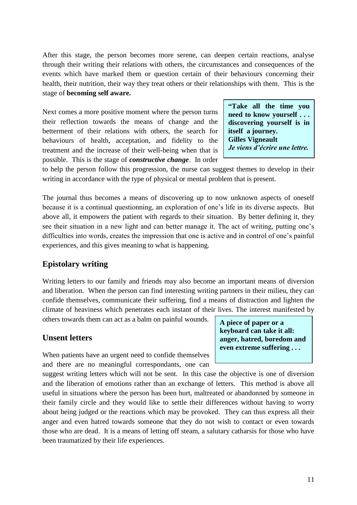After this stage, the person becomes more serene, can deepen certain reactions, analyse through their writing their relations with others, the circumstances and consequences of the events which have marked them or question certain of their behaviours concerning their health, their nutrition, their way they treat others or their relationships with them. This is the stage of **becoming self aware.**

Next comes a more positive moment where the person turns their reflection towards the means of change and the betterment of their relations with others, the search for behaviours of health, acceptation, and fidelity to the treatment and the increase of their well-being when that is possible. This is the stage of *constructive change*. In order

**"Take all the time you need to know yourself . . . discovering yourself is in itself a journey. Gilles Vigneault** *Je viens d'écrire une lettre.*

to help the person follow this progression, the nurse can suggest themes to develop in their writing in accordance with the type of physical or mental problem that is present.

The journal thus becomes a means of discovering up to now unknown aspects of oneself because it is a continual questionning, an exploration of one's life in its diverse aspects. But above all, it empowers the patient with regards to their situation. By better defining it, they see their situation in a new light and can better manage it. The act of writing, putting one's difficulties into words, creates the impression that one is active and in control of one's painful experiences, and this gives meaning to what is happening.

## **Epistolary writing**

Writing letters to our family and friends may also become an important means of diversion and liberation. When the person can find interesting writing partners in their milieu, they can confide themselves, communicate their suffering, find a means of distraction and lighten the climate of heaviness which penetrates each instant of their lives. The interest manifested by

others towards them can act as a balm on painful wounds.

## **Unsent letters**

When patients have an urgent need to confide themselves and there are no meaningful correspondants, one can

suggest writing letters which will not be sent. In this case the objective is one of diversion and the liberation of emotions rather than an exchange of letters. This method is above all useful in situations where the person has been hurt, maltreated or abandonned by someone in their family circle and they would like to settle their differences without having to worry about being judged or the reactions which may be provoked. They can thus express all their anger and even hatred towards someone that they do not wish to contact or even towards those who are dead. It is a means of letting off steam, a salutary catharsis for those who have been traumatized by their life experiences.

**A piece of paper or a keyboard can take it all: anger, hatred, boredom and even extreme suffering . . .**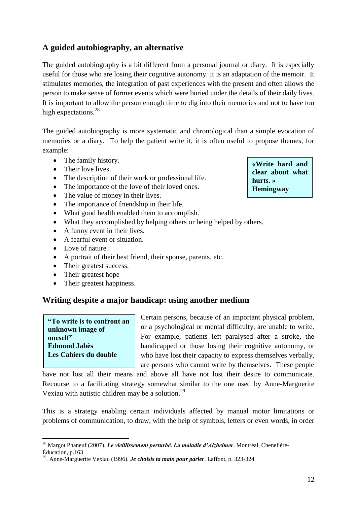# **A guided autobiography, an alternative**

The guided autobiography is a bit different from a personal journal or diary. It is especially useful for those who are losing their cognitive autonomy. It is an adaptation of the memoir. It stimulates memories, the integration of past experiences with the present and often allows the person to make sense of former events which were buried under the details of their daily lives. It is important to allow the person enough time to dig into their memories and not to have too high expectations.<sup>28</sup>

The guided autobiography is more systematic and chronological than a simple evocation of memories or a diary. To help the patient write it, it is often useful to propose themes, for example:

- The family history.
- Their love lives.
- The description of their work or professional life.
- The importance of the love of their loved ones.
- The value of money in their lives.
- The importance of friendship in their life.
- What good health enabled them to accomplish.
- What they accomplished by helping others or being helped by others.
- A funny event in their lives.
- A fearful event or situation.
- Love of nature.
- A portrait of their best friend, their spouse, parents, etc.
- Their greatest success.
- Their greatest hope
- Their greatest happiness.

# **Writing despite a major handicap: using another medium**

#### **"To write is to confront an unknown image of oneself" Edmond Jabès Les Cahiers du double**

1

Certain persons, because of an important physical problem, or a psychological or mental difficulty, are unable to write. For example, patients left paralysed after a stroke, the handicapped or those losing their cognitive autonomy, or who have lost their capacity to express themselves verbally, are persons who cannot write by themselves. These people

have not lost all their means and above all have not lost their desire to communicate. Recourse to a facilitating strategy somewhat similar to the one used by Anne-Marguerite Vexiau with autistic children may be a solution.<sup>29</sup>

This is a strategy enabling certain individuals affected by manual motor limitations or problems of communication, to draw, with the help of symbols, letters or even words, in order

**«Write hard and clear about what hurts. » Hemingway**

<sup>28</sup>.Margot Phaneuf (2007). *Le vieillissement perturbé. La maladie d'Alzheimer*. Montréal, Chenelière-Éducation, p.163

<sup>29</sup>. Anne-Marguerite Vexiau (1996). *Je choisis ta main pour parler*. Laffont, p. 323-324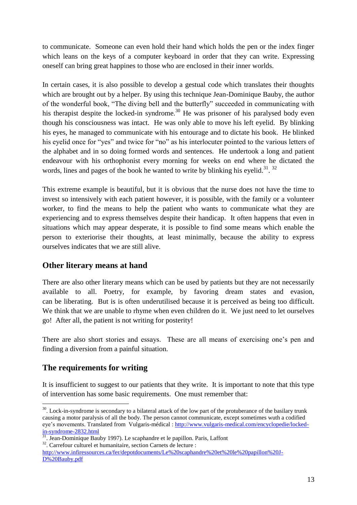to communicate. Someone can even hold their hand which holds the pen or the index finger which leans on the keys of a computer keyboard in order that they can write. Expressing oneself can bring great happines to those who are enclosed in their inner worlds.

In certain cases, it is also possible to develop a gestual code which translates their thoughts which are brought out by a helper. By using this technique Jean-Dominique Bauby, the author of the wonderful book, "The diving bell and the butterfly" succeeded in communicating with his therapist despite the locked-in syndrome.<sup>30</sup> He was prisoner of his paralysed body even though his consciousness was intact. He was only able to move his left eyelid. By blinking his eyes, he managed to communicate with his entourage and to dictate his book. He blinked his eyelid once for "yes" and twice for "no" as his interlocuter pointed to the various letters of the alphabet and in so doing formed words and sentences. He undertook a long and patient endeavour with his orthophonist every morning for weeks on end where he dictated the words, lines and pages of the book he wanted to write by blinking his eyelid.<sup>31</sup>.<sup>32</sup>

This extreme example is beautiful, but it is obvious that the nurse does not have the time to invest so intensively with each patient however, it is possible, with the family or a volunteer worker, to find the means to help the patient who wants to communicate what they are experiencing and to express themselves despite their handicap. It often happens that even in situations which may appear desperate, it is possible to find some means which enable the person to exteriorise their thoughts, at least minimally, because the ability to express ourselves indicates that we are still alive.

## **Other literary means at hand**

There are also other literary means which can be used by patients but they are not necessarily available to all. Poetry, for example, by favoring dream states and evasion, can be liberating. But is is often underutilised because it is perceived as being too difficult. We think that we are unable to rhyme when even children do it. We just need to let ourselves go! After all, the patient is not writing for posterity!

There are also short stories and essays. These are all means of exercising one's pen and finding a diversion from a painful situation.

# **The requirements for writing**

<u>.</u>

It is insufficient to suggest to our patients that they write. It is important to note that this type of intervention has some basic requirements. One must remember that:

<sup>32</sup>. Carrefour culturel et humanitaire, section Carnets de lecture :

 $30$ . Lock-in-syndrome is secondary to a bilateral attack of the low part of the protuberance of the basilary trunk causing a motor paralysis of all the body. The person cannot communicate, except sometimes wuth a codified eye's movements. Translated from Vulgaris-médical : [http://www.vulgaris-medical.com/encyclopedie/locked](http://www.vulgaris-medical.com/encyclopedie/locked-in-syndrome-2832.html)[in-syndrome-2832.html](http://www.vulgaris-medical.com/encyclopedie/locked-in-syndrome-2832.html)

<sup>&</sup>lt;sup>31</sup>. Jean-Dominique Bauby 1997). Le scaphandre et le papillon. Paris, Laffont

[http://www.infiressources.ca/fer/depotdocuments/Le%20scaphandre%20et%20le%20papillon%20J-](http://www.infiressources.ca/fer/depotdocuments/Le%20scaphandre%20et%20le%20papillon%20J-D%20Bauby.pdf)[D%20Bauby.pdf](http://www.infiressources.ca/fer/depotdocuments/Le%20scaphandre%20et%20le%20papillon%20J-D%20Bauby.pdf)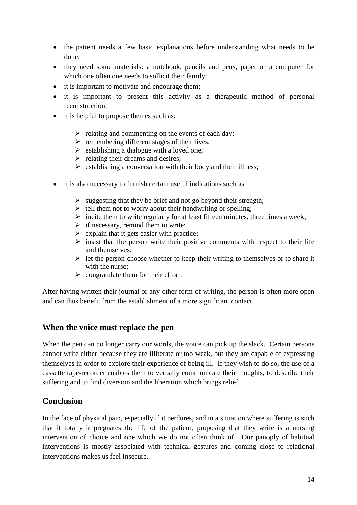- the patient needs a few basic explanations before understanding what needs to be done;
- they need some materials: a notebook, pencils and pens, paper or a computer for which one often one needs to sollicit their family;
- it is important to motivate and encourage them;
- it is important to present this activity as a therapeutic method of personal reconstruction;
- it is helpful to propose themes such as:
	- $\triangleright$  relating and commenting on the events of each day;
	- $\triangleright$  remembering different stages of their lives;
	- $\triangleright$  establishing a dialogue with a loved one;
	- $\triangleright$  relating their dreams and desires;
	- $\triangleright$  establishing a conversation with their body and their illness;
- it is also necessary to furnish certain useful indications such as:
	- $\triangleright$  suggesting that they be brief and not go beyond their strength;
	- $\triangleright$  tell them not to worry about their handwriting or spelling;
	- $\triangleright$  incite them to write regularly for at least fifteen minutes, three times a week;
	- $\triangleright$  if necessary, remind them to write;
	- $\triangleright$  explain that it gets easier with practice:
	- $\triangleright$  insist that the person write their positive comments with respect to their life and themselves;
	- $\triangleright$  let the person choose whether to keep their writing to themselves or to share it with the nurse;
	- $\triangleright$  congratulate them for their effort.

After having written their journal or any other form of writing, the person is often more open and can thus benefit from the establishment of a more significant contact.

## **When the voice must replace the pen**

When the pen can no longer carry our words, the voice can pick up the slack. Certain persons cannot write either because they are illiterate or too weak, but they are capable of expressing themselves in order to explore their experience of being ill. If they wish to do so, the use of a cassette tape-recorder enables them to verbally communicate their thoughts, to describe their suffering and to find diversion and the liberation which brings relief

## **Conclusion**

In the face of physical pain, especially if it perdures, and in a situation where suffering is such that it totally impregnates the life of the patient, proposing that they write is a nursing intervention of choice and one which we do not often think of. Our panoply of habitual interventions is mostly associated with technical gestures and coming close to relational interventions makes us feel insecure.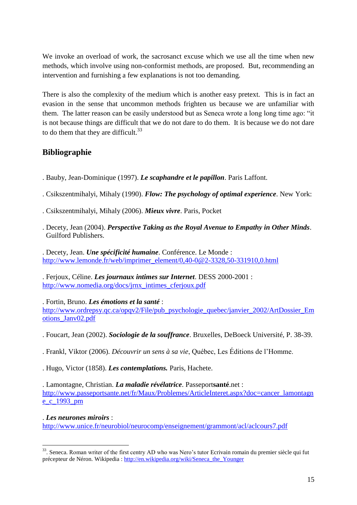We invoke an overload of work, the sacrosanct excuse which we use all the time when new methods, which involve using non-conformist methods, are proposed. But, recommending an intervention and furnishing a few explanations is not too demanding.

There is also the complexity of the medium which is another easy pretext. This is in fact an evasion in the sense that uncommon methods frighten us because we are unfamiliar with them. The latter reason can be easily understood but as Seneca wrote a long long time ago: "it is not because things are difficult that we do not dare to do them. It is because we do not dare to do them that they are difficult. $33$ 

## **Bibliographie**

- . Bauby, Jean-Dominique (1997). *Le scaphandre et le papillon*. Paris Laffont.
- . Csikszentmihalyi, Mihaly (1990). *Flow: The psychology of optimal experience*. New York:
- . Csikszentmihalyi, Mihaly (2006). *Mieux vivre*. Paris, Pocket
- . Decety, Jean (2004). *Perspective Taking as the Royal Avenue to Empathy in Other Minds*. Guilford Publishers.

. Decety, Jean. *Une spécificité humaine*. Conférence. Le Monde : [http://www.lemonde.fr/web/imprimer\\_element/0,40-0@2-3328,50-331910,0.html](http://www.lemonde.fr/web/imprimer_element/0,40-0@2-3328,50-331910,0.html)

. Ferjoux, Céline. *Les journaux intimes sur Internet*. DESS 2000-2001 : [http://www.nomedia.org/docs/jrnx\\_intimes\\_cferjoux.pdf](http://www.nomedia.org/docs/jrnx_intimes_cferjoux.pdf)

. Fortin, Bruno. *Les émotions et la santé* : [http://www.ordrepsy.qc.ca/opqv2/File/pub\\_psychologie\\_quebec/janvier\\_2002/ArtDossier\\_Em](http://www.ordrepsy.qc.ca/opqv2/File/pub_psychologie_quebec/janvier_2002/ArtDossier_Emotions_Janv02.pdf) [otions\\_Janv02.pdf](http://www.ordrepsy.qc.ca/opqv2/File/pub_psychologie_quebec/janvier_2002/ArtDossier_Emotions_Janv02.pdf)

- . Foucart, Jean (2002). *Sociologie de la souffrance*. Bruxelles, DeBoeck Université, P. 38-39.
- . Frankl, Viktor (2006). *Découvrir un sens à sa vie*, Québec, Les Éditions de l'Homme.
- . Hugo, Victor (1858). *Les contemplations.* Paris, Hachete.

. Lamontagne, Christian. *La maladie révélatrice*. Passeport**santé**.net : [http://www.passeportsante.net/fr/Maux/Problemes/ArticleInteret.aspx?doc=cancer\\_lamontagn](http://www.passeportsante.net/fr/Maux/Problemes/ArticleInteret.aspx?doc=cancer_lamontagne_c_1993_pm) [e\\_c\\_1993\\_pm](http://www.passeportsante.net/fr/Maux/Problemes/ArticleInteret.aspx?doc=cancer_lamontagne_c_1993_pm)

## . *Les neurones miroirs* :

<http://www.unice.fr/neurobiol/neurocomp/enseignement/grammont/acl/aclcours7.pdf>

<sup>&</sup>lt;u>.</u> <sup>33</sup>. Seneca. Roman writer of the first centry AD who was Nero's tutor Ecrivain romain du premier siècle qui fut précepteur de Néron. Wikipedia : [http://en.wikipedia.org/wiki/Seneca\\_the\\_Younger](http://en.wikipedia.org/wiki/Seneca_the_Younger)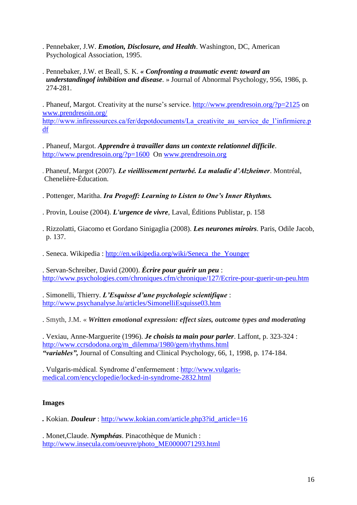- . Pennebaker, J.W. *Emotion, Disclosure, and Health*. Washington, DC, American Psychological Association, 1995.
- . Pennebaker, J.W. et Beall, S. K. *« Confronting a traumatic event: toward an understandingof inhibition and disease*. » Journal of Abnormal Psychology, 956, 1986, p. 274-281.

. Phaneuf, Margot. Creativity at the nurse's service. <http://www.prendresoin.org/?p=2125> on <www.prendresoin.org/> [http://www.infiressources.ca/fer/depotdocuments/La\\_creativite\\_au\\_service\\_de\\_l'infirmiere.p](http://www.infiressources.ca/fer/depotdocuments/La_creativite_au_service_de_l)

. Phaneuf, Margot. *Apprendre à travailler dans un contexte relationnel difficile*. <http://www.prendresoin.org/?p=1600>On [www.prendresoin.org](http://www.prendresoin.org/)

. Phaneuf, Margot (2007). *Le vieillissement perturbé. La maladie d'Alzheimer*. Montréal, Chenelière-Éducation.

. Pottenger, Maritha. *Ira Progoff: Learning to Listen to One's Inner Rhythms.*

- . Provin, Louise (2004). *L'urgence de vivre*, Laval, Éditions Publistar, p. 158
- . Rizzolatti, Giacomo et Gordano Sinigaglia (2008). *Les neurones miroirs*. Paris, Odile Jacob, p. 137.

. Seneca. Wikipedia : [http://en.wikipedia.org/wiki/Seneca\\_the\\_Younger](http://en.wikipedia.org/wiki/Seneca_the_Younger) 

. Servan-Schreiber, David (2000). *Écrire pour guérir un peu* : <http://www.psychologies.com/chroniques.cfm/chronique/127/Ecrire-pour-guerir-un-peu.htm>

. Simonelli, Thierry. *L'Esquisse d'une psychologie scientifique* : <http://www.psychanalyse.lu/articles/SimonelliEsquisse03.htm>

. Smyth, J.M. « *Written emotional expression: effect sizes, outcome types and moderating*

. Vexiau, Anne-Marguerite (1996). *Je choisis ta main pour parler*. Laffont, p. 323-324 : [http://www.ccrsdodona.org/m\\_dilemma/1980/gem/rhythms.html](http://www.ccrsdodona.org/m_dilemma/1980/gem/rhythms.html)  *"variables",* Journal of Consulting and Clinical Psychology, 66, 1, 1998, p. 174-184.

. Vulgaris-médical. Syndrome d'enfermement : [http://www.vulgaris](http://www.vulgaris-medical.com/encyclopedie/locked-in-syndrome-2832.html)[medical.com/encyclopedie/locked-in-syndrome-2832.html](http://www.vulgaris-medical.com/encyclopedie/locked-in-syndrome-2832.html)

#### **Images**

[df](http://www.infiressources.ca/fer/depotdocuments/La_creativite_au_service_de_l)

*.* Kokian. *Douleur* : [http://www.kokian.com/article.php3?id\\_article=16](http://www.kokian.com/article.php3?id_article=16)

. Monet,Claude. *Nymphéas*. Pinacothèque de Munich : [http://www.insecula.com/oeuvre/photo\\_ME0000071293.html](http://www.insecula.com/oeuvre/photo_ME0000071293.html)